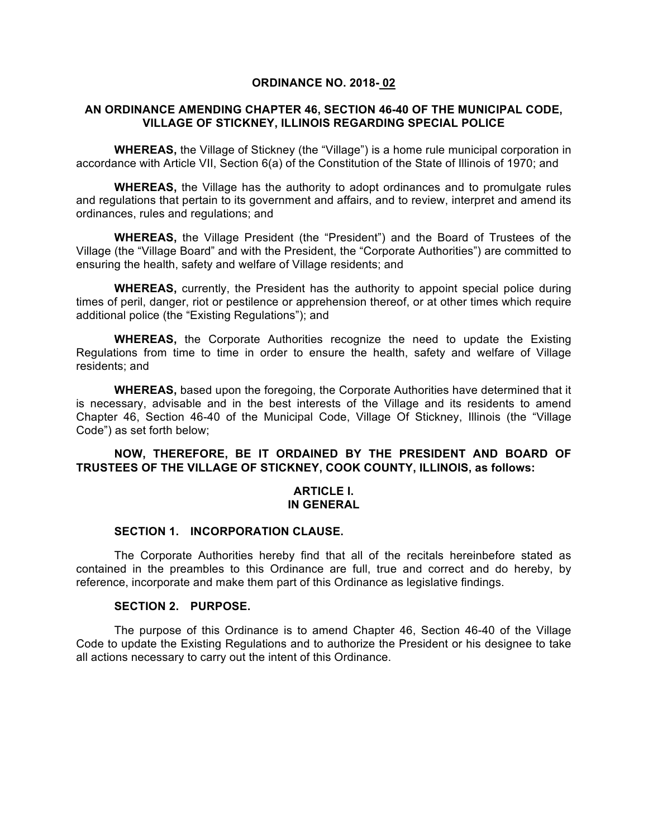#### **ORDINANCE NO. 2018- 02**

# **AN ORDINANCE AMENDING CHAPTER 46, SECTION 46-40 OF THE MUNICIPAL CODE, VILLAGE OF STICKNEY, ILLINOIS REGARDING SPECIAL POLICE**

**WHEREAS,** the Village of Stickney (the "Village") is a home rule municipal corporation in accordance with Article VII, Section 6(a) of the Constitution of the State of Illinois of 1970; and

**WHEREAS,** the Village has the authority to adopt ordinances and to promulgate rules and regulations that pertain to its government and affairs, and to review, interpret and amend its ordinances, rules and regulations; and

**WHEREAS,** the Village President (the "President") and the Board of Trustees of the Village (the "Village Board" and with the President, the "Corporate Authorities") are committed to ensuring the health, safety and welfare of Village residents; and

**WHEREAS,** currently, the President has the authority to appoint special police during times of peril, danger, riot or pestilence or apprehension thereof, or at other times which require additional police (the "Existing Regulations"); and

**WHEREAS,** the Corporate Authorities recognize the need to update the Existing Regulations from time to time in order to ensure the health, safety and welfare of Village residents; and

**WHEREAS,** based upon the foregoing, the Corporate Authorities have determined that it is necessary, advisable and in the best interests of the Village and its residents to amend Chapter 46, Section 46-40 of the Municipal Code, Village Of Stickney, Illinois (the "Village Code") as set forth below;

# **NOW, THEREFORE, BE IT ORDAINED BY THE PRESIDENT AND BOARD OF TRUSTEES OF THE VILLAGE OF STICKNEY, COOK COUNTY, ILLINOIS, as follows:**

## **ARTICLE I. IN GENERAL**

#### **SECTION 1. INCORPORATION CLAUSE.**

The Corporate Authorities hereby find that all of the recitals hereinbefore stated as contained in the preambles to this Ordinance are full, true and correct and do hereby, by reference, incorporate and make them part of this Ordinance as legislative findings.

#### **SECTION 2. PURPOSE.**

The purpose of this Ordinance is to amend Chapter 46, Section 46-40 of the Village Code to update the Existing Regulations and to authorize the President or his designee to take all actions necessary to carry out the intent of this Ordinance.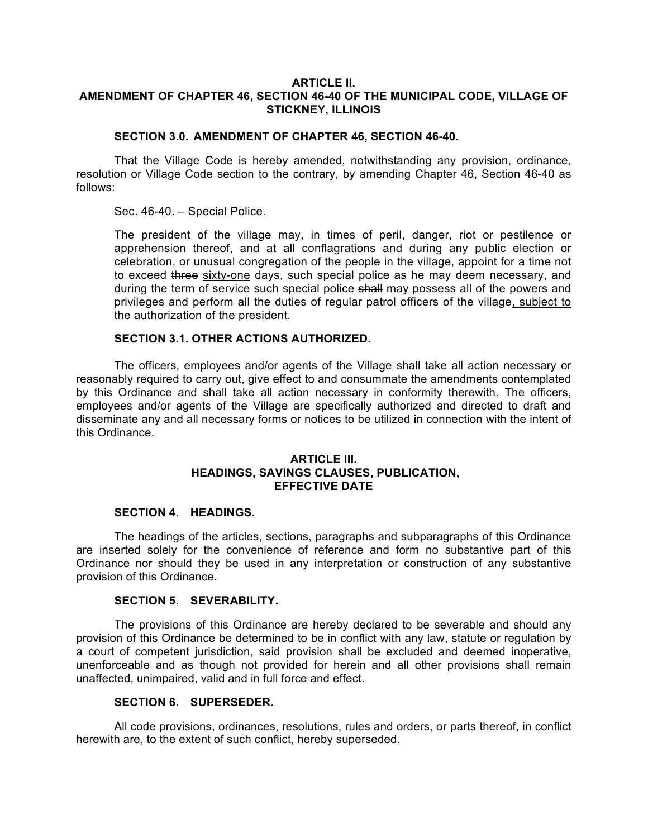## **ARTICLE II. AMENDMENT OF CHAPTER 46, SECTION 46-40 OF THE MUNICIPAL CODE, VILLAGE OF STICKNEY, ILLINOIS**

## **SECTION 3.0. AMENDMENT OF CHAPTER 46, SECTION 46-40.**

That the Village Code is hereby amended, notwithstanding any provision, ordinance, resolution or Village Code section to the contrary, by amending Chapter 46, Section 46-40 as follows:

Sec. 46-40. – Special Police.

The president of the village may, in times of peril, danger, riot or pestilence or apprehension thereof, and at all conflagrations and during any public election or celebration, or unusual congregation of the people in the village, appoint for a time not to exceed three sixty-one days, such special police as he may deem necessary, and during the term of service such special police shall may possess all of the powers and privileges and perform all the duties of regular patrol officers of the village, subject to the authorization of the president.

#### **SECTION 3.1. OTHER ACTIONS AUTHORIZED.**

The officers, employees and/or agents of the Village shall take all action necessary or reasonably required to carry out, give effect to and consummate the amendments contemplated by this Ordinance and shall take all action necessary in conformity therewith. The officers, employees and/or agents of the Village are specifically authorized and directed to draft and disseminate any and all necessary forms or notices to be utilized in connection with the intent of this Ordinance.

# **ARTICLE III. HEADINGS, SAVINGS CLAUSES, PUBLICATION, EFFECTIVE DATE**

## **SECTION 4. HEADINGS.**

The headings of the articles, sections, paragraphs and subparagraphs of this Ordinance are inserted solely for the convenience of reference and form no substantive part of this Ordinance nor should they be used in any interpretation or construction of any substantive provision of this Ordinance.

#### **SECTION 5. SEVERABILITY.**

The provisions of this Ordinance are hereby declared to be severable and should any provision of this Ordinance be determined to be in conflict with any law, statute or regulation by a court of competent jurisdiction, said provision shall be excluded and deemed inoperative, unenforceable and as though not provided for herein and all other provisions shall remain unaffected, unimpaired, valid and in full force and effect.

#### **SECTION 6. SUPERSEDER.**

All code provisions, ordinances, resolutions, rules and orders, or parts thereof, in conflict herewith are, to the extent of such conflict, hereby superseded.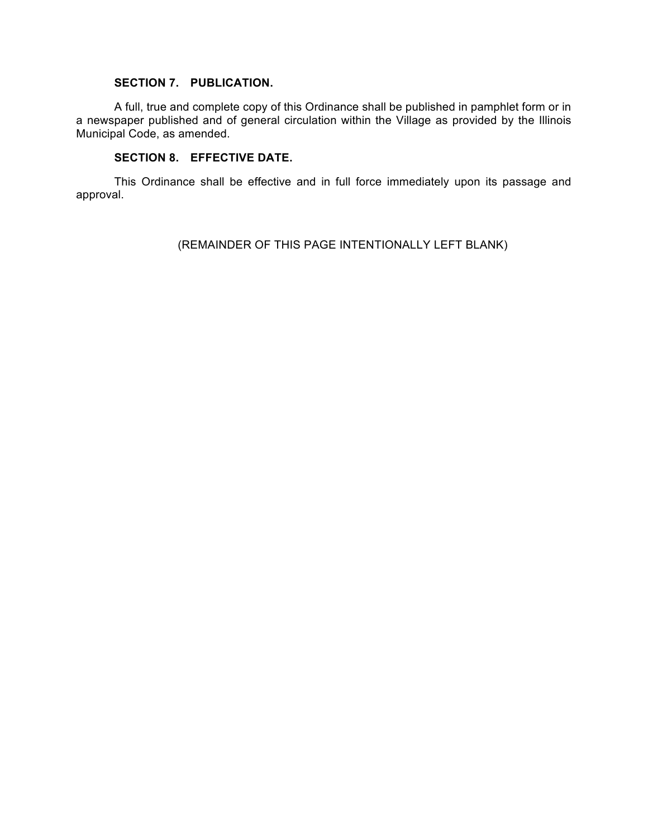# **SECTION 7. PUBLICATION.**

A full, true and complete copy of this Ordinance shall be published in pamphlet form or in a newspaper published and of general circulation within the Village as provided by the Illinois Municipal Code, as amended.

# **SECTION 8. EFFECTIVE DATE.**

This Ordinance shall be effective and in full force immediately upon its passage and approval.

(REMAINDER OF THIS PAGE INTENTIONALLY LEFT BLANK)